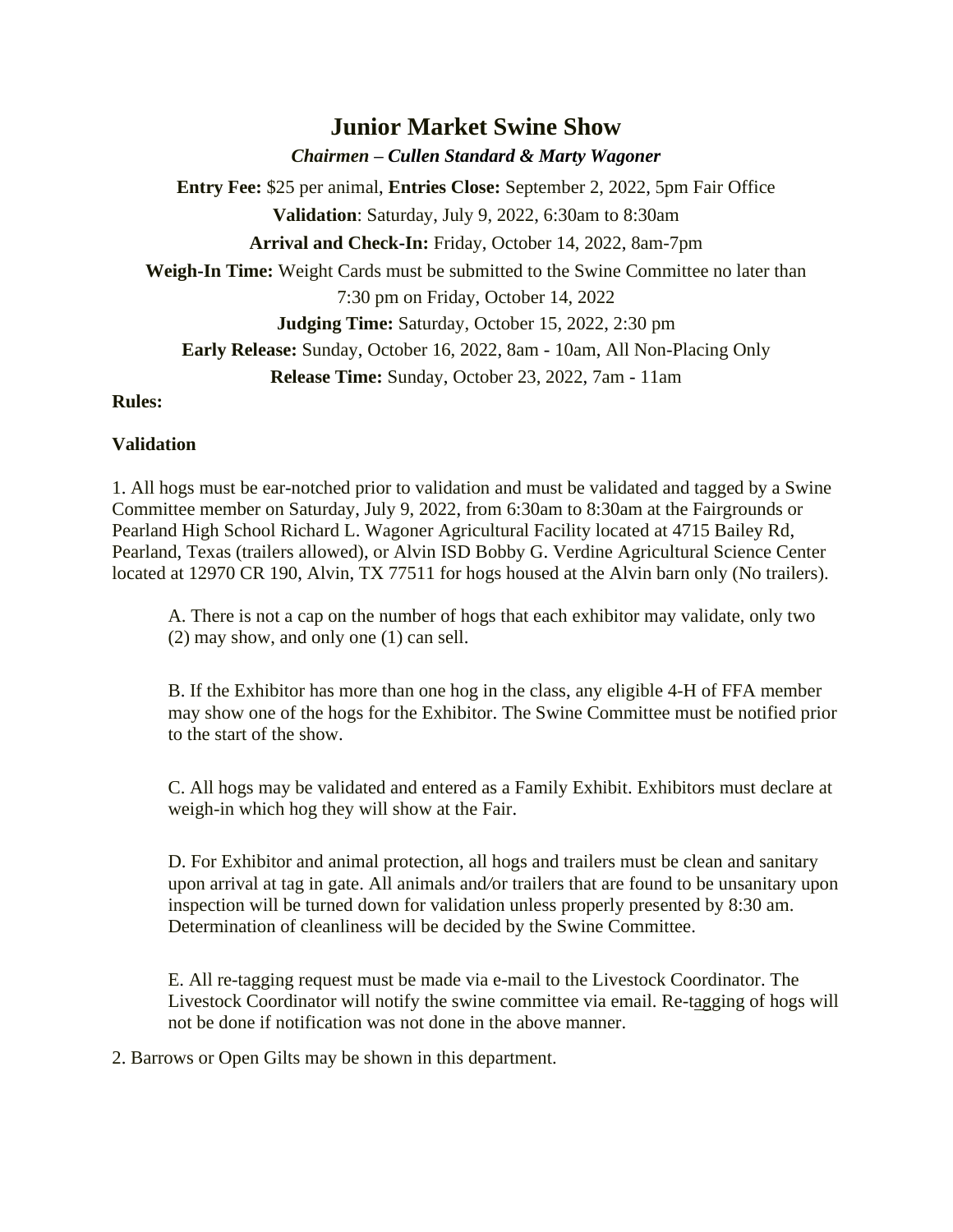# **Junior Market Swine Show**

*Chairmen – Cullen Standard & Marty Wagoner*

**Entry Fee:** \$25 per animal, **Entries Close:** September 2, 2022, 5pm Fair Office **Validation**: Saturday, July 9, 2022, 6:30am to 8:30am **Arrival and Check-In:** Friday, October 14, 2022, 8am-7pm **Weigh-In Time:** Weight Cards must be submitted to the Swine Committee no later than 7:30 pm on Friday, October 14, 2022 **Judging Time:** Saturday, October 15, 2022, 2:30 pm **Early Release:** Sunday, October 16, 2022, 8am - 10am, All Non-Placing Only

**Release Time:** Sunday, October 23, 2022, 7am - 11am

#### **Rules:**

## **Validation**

1. All hogs must be ear-notched prior to validation and must be validated and tagged by a Swine Committee member on Saturday, July 9, 2022, from 6:30am to 8:30am at the Fairgrounds or Pearland High School Richard L. Wagoner Agricultural Facility located at 4715 Bailey Rd, Pearland, Texas (trailers allowed), or Alvin ISD Bobby G. Verdine Agricultural Science Center located at 12970 CR 190, Alvin, TX 77511 for hogs housed at the Alvin barn only (No trailers).

A. There is not a cap on the number of hogs that each exhibitor may validate, only two (2) may show, and only one (1) can sell.

B. If the Exhibitor has more than one hog in the class, any eligible 4-H of FFA member may show one of the hogs for the Exhibitor. The Swine Committee must be notified prior to the start of the show.

C. All hogs may be validated and entered as a Family Exhibit. Exhibitors must declare at weigh-in which hog they will show at the Fair.

D. For Exhibitor and animal protection, all hogs and trailers must be clean and sanitary upon arrival at tag in gate. All animals and*/*or trailers that are found to be unsanitary upon inspection will be turned down for validation unless properly presented by 8:30 am. Determination of cleanliness will be decided by the Swine Committee.

E. All re-tagging request must be made via e-mail to the Livestock Coordinator. The Livestock Coordinator will notify the swine committee via email. Re-tagging of hogs will not be done if notification was not done in the above manner.

2. Barrows or Open Gilts may be shown in this department.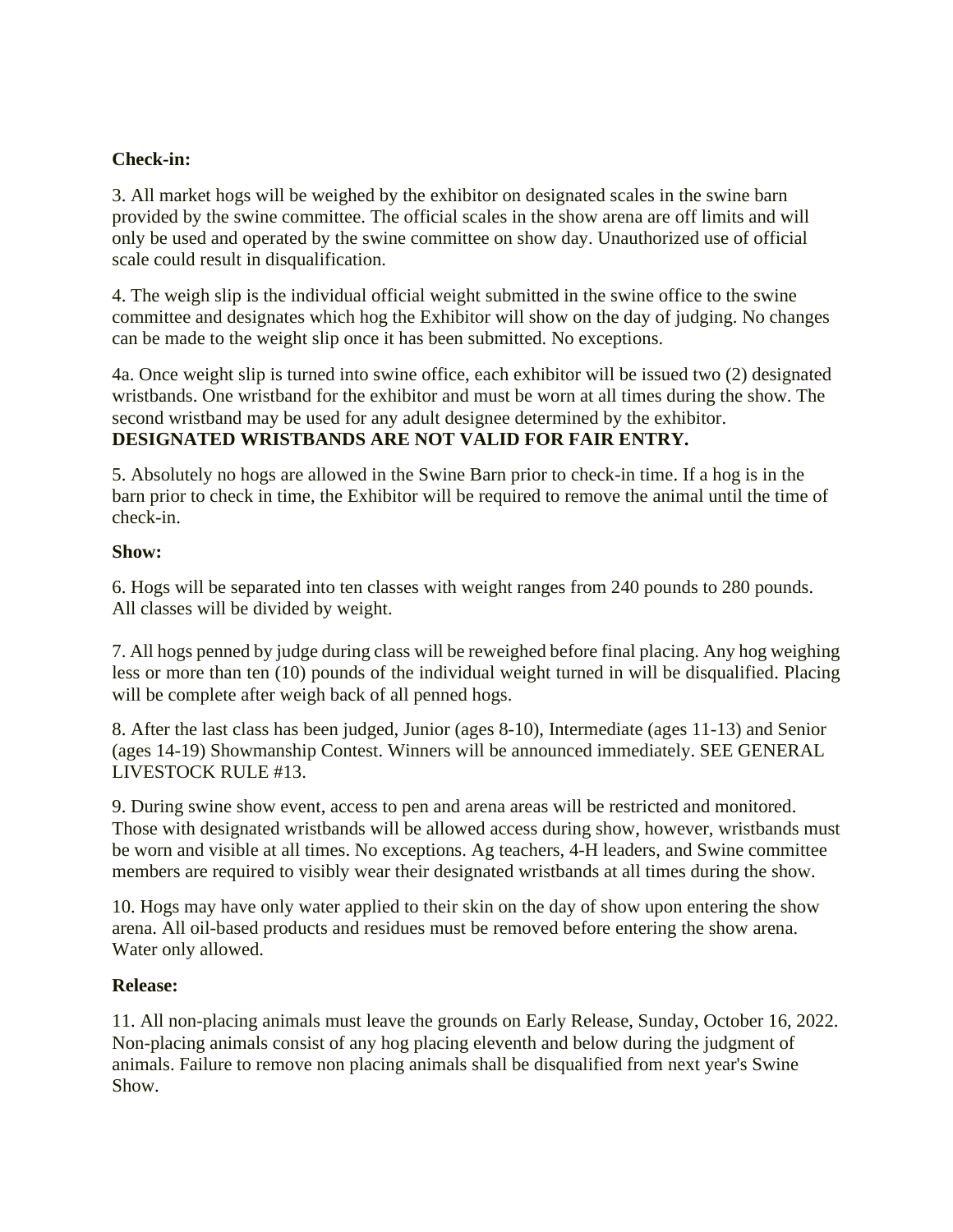#### **Check-in:**

3. All market hogs will be weighed by the exhibitor on designated scales in the swine barn provided by the swine committee. The official scales in the show arena are off limits and will only be used and operated by the swine committee on show day. Unauthorized use of official scale could result in disqualification.

4. The weigh slip is the individual official weight submitted in the swine office to the swine committee and designates which hog the Exhibitor will show on the day of judging. No changes can be made to the weight slip once it has been submitted. No exceptions.

4a. Once weight slip is turned into swine office, each exhibitor will be issued two (2) designated wristbands. One wristband for the exhibitor and must be worn at all times during the show. The second wristband may be used for any adult designee determined by the exhibitor. **DESIGNATED WRISTBANDS ARE NOT VALID FOR FAIR ENTRY.**

5. Absolutely no hogs are allowed in the Swine Barn prior to check-in time. If a hog is in the barn prior to check in time, the Exhibitor will be required to remove the animal until the time of check-in.

#### **Show:**

6. Hogs will be separated into ten classes with weight ranges from 240 pounds to 280 pounds. All classes will be divided by weight.

7. All hogs penned by judge during class will be reweighed before final placing. Any hog weighing less or more than ten (10) pounds of the individual weight turned in will be disqualified. Placing will be complete after weigh back of all penned hogs.

8. After the last class has been judged, Junior (ages 8-10), Intermediate (ages 11-13) and Senior (ages 14-19) Showmanship Contest. Winners will be announced immediately. SEE GENERAL LIVESTOCK RULE #13.

9. During swine show event, access to pen and arena areas will be restricted and monitored. Those with designated wristbands will be allowed access during show, however, wristbands must be worn and visible at all times. No exceptions. Ag teachers, 4-H leaders, and Swine committee members are required to visibly wear their designated wristbands at all times during the show.

10. Hogs may have only water applied to their skin on the day of show upon entering the show arena. All oil-based products and residues must be removed before entering the show arena. Water only allowed.

#### **Release:**

11. All non-placing animals must leave the grounds on Early Release, Sunday, October 16, 2022. Non-placing animals consist of any hog placing eleventh and below during the judgment of animals. Failure to remove non placing animals shall be disqualified from next year's Swine Show.